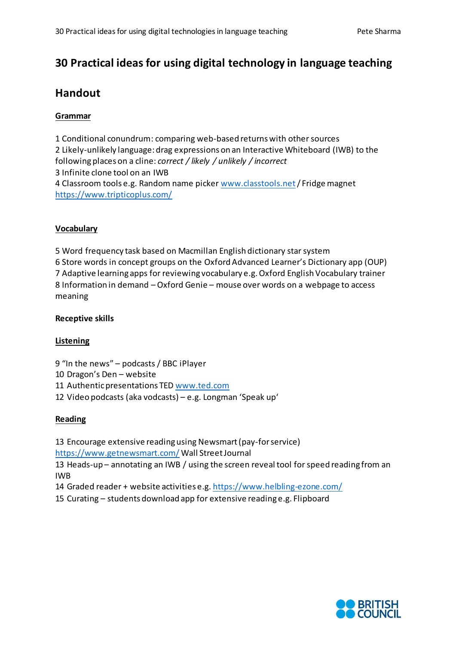# **30 Practical ideas for using digital technology in language teaching**

# **Handout**

# **Grammar**

1 Conditional conundrum: comparing web-based returns with other sources 2 Likely-unlikely language: drag expressions on an Interactive Whiteboard (IWB) to the following places on a cline: *correct / likely / unlikely / incorrect* 3 Infinite clone tool on an IWB 4 Classroom tools e.g. Random name picke[r www.classtools.net](http://www.classtools.net/)/ Fridge magnet <https://www.tripticoplus.com/>

### **Vocabulary**

5 Word frequency task based on Macmillan English dictionary star system 6 Store words in concept groups on the Oxford Advanced Learner's Dictionary app (OUP) 7 Adaptive learning apps for reviewing vocabulary e.g. Oxford English Vocabulary trainer 8 Information in demand – Oxford Genie – mouse over words on a webpage to access meaning

### **Receptive skills**

#### **Listening**

9 "In the news" – podcasts / BBC iPlayer

10 Dragon's Den – website

11 Authentic presentations TED [www.ted.com](http://www.ted.com/)

12 Video podcasts (aka vodcasts) – e.g. Longman 'Speak up'

# **Reading**

13 Encourage extensive reading using Newsmart (pay-for service)

<https://www.getnewsmart.com/> Wall Street Journal

13 Heads-up – annotating an IWB / using the screen reveal tool for speed reading from an IWB

- 14 Graded reader + website activities e.g. <https://www.helbling-ezone.com/>
- 15 Curating students download app for extensive reading e.g. Flipboard